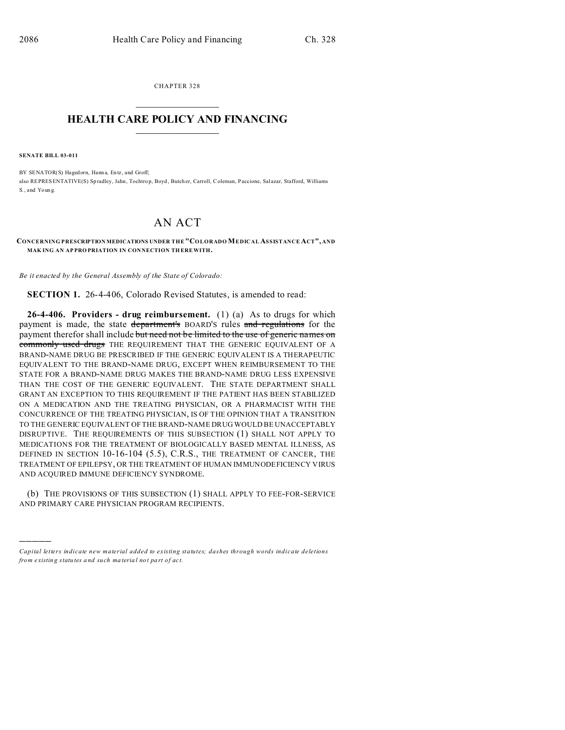CHAPTER 328

## **HEALTH CARE POLICY AND FINANCING**

**SENATE BILL 03-011** 

BY SENATOR(S) Hagedorn, Hanna, Entz, and Groff; also REPRESENTATIVE(S) Spradley, Jahn, Tochtrop, Boyd, Butcher, Carroll, Coleman, Paccione, Salazar, Stafford, Williams S., and Young.

## AN ACT

## CONCERNING PRESCRIPTION MEDICATIONS UNDER THE "COLORADO MEDICAL ASSISTANCE ACT", AND MAKING AN APPROPRIATION IN CONNECTION THEREWITH.

Be it enacted by the General Assembly of the State of Colorado:

SECTION 1. 26-4-406, Colorado Revised Statutes, is amended to read:

26-4-406. Providers - drug reimbursement.  $(1)$   $(a)$  As to drugs for which payment is made, the state department's BOARD'S rules and regulations for the payment therefor shall include but need not be limited to the use of generic names on commonly used drugs THE REQUIREMENT THAT THE GENERIC EQUIVALENT OF A BRAND-NAME DRUG BE PRESCRIBED IF THE GENERIC EQUIVALENT IS A THERAPEUTIC EQUIVALENT TO THE BRAND-NAME DRUG, EXCEPT WHEN REIMBURSEMENT TO THE STATE FOR A BRAND-NAME DRUG MAKES THE BRAND-NAME DRUG LESS EXPENSIVE THAN THE COST OF THE GENERIC EQUIVALENT. THE STATE DEPARTMENT SHALL GRANT AN EXCEPTION TO THIS REQUIREMENT IF THE PATIENT HAS BEEN STABILIZED ON A MEDICATION AND THE TREATING PHYSICIAN, OR A PHARMACIST WITH THE CONCURRENCE OF THE TREATING PHYSICIAN, IS OF THE OPINION THAT A TRANSITION TO THE GENERIC EQUIVALENT OF THE BRAND-NAME DRUG WOULD BE UNACCEPTABLY DISRUPTIVE. THE REQUIREMENTS OF THIS SUBSECTION (1) SHALL NOT APPLY TO MEDICATIONS FOR THE TREATMENT OF BIOLOGICALLY BASED MENTAL ILLNESS, AS DEFINED IN SECTION 10-16-104 (5.5), C.R.S., THE TREATMENT OF CANCER, THE TREATMENT OF EPILEPSY, OR THE TREATMENT OF HUMAN IMMUNODEFICIENCY VIRUS AND ACQUIRED IMMUNE DEFICIENCY SYNDROME.

(b) THE PROVISIONS OF THIS SUBSECTION (1) SHALL APPLY TO FEE-FOR-SERVICE AND PRIMARY CARE PHYSICIAN PROGRAM RECIPIENTS.

Capital letters indicate new material added to existing statutes; dashes through words indicate deletions from existing statutes and such material not part of act.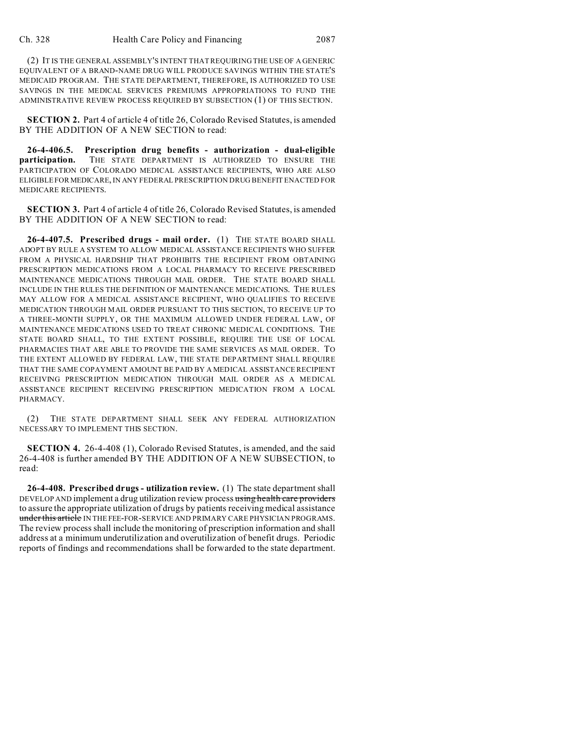(2) IT IS THE GENERAL ASSEMBLY'S INTENT THAT REQUIRING THE USE OF A GENERIC EQUIVALENT OF A BRAND-NAME DRUG WILL PRODUCE SAVINGS WITHIN THE STATE'S MEDICAID PROGRAM. THE STATE DEPARTMENT, THEREFORE, IS AUTHORIZED TO USE SAVINGS IN THE MEDICAL SERVICES PREMIUMS APPROPRIATIONS TO FUND THE ADMINISTRATIVE REVIEW PROCESS REQUIRED BY SUBSECTION (1) OF THIS SECTION.

**SECTION 2.** Part 4 of article 4 of title 26, Colorado Revised Statutes, is amended BY THE ADDITION OF A NEW SECTION to read:

**26-4-406.5. Prescription drug benefits - authorization - dual-eligible participation.** THE STATE DEPARTMENT IS AUTHORIZED TO ENSURE THE PARTICIPATION OF COLORADO MEDICAL ASSISTANCE RECIPIENTS, WHO ARE ALSO ELIGIBLE FOR MEDICARE, IN ANY FEDERAL PRESCRIPTION DRUG BENEFIT ENACTED FOR MEDICARE RECIPIENTS.

**SECTION 3.** Part 4 of article 4 of title 26, Colorado Revised Statutes, is amended BY THE ADDITION OF A NEW SECTION to read:

**26-4-407.5. Prescribed drugs - mail order.** (1) THE STATE BOARD SHALL ADOPT BY RULE A SYSTEM TO ALLOW MEDICAL ASSISTANCE RECIPIENTS WHO SUFFER FROM A PHYSICAL HARDSHIP THAT PROHIBITS THE RECIPIENT FROM OBTAINING PRESCRIPTION MEDICATIONS FROM A LOCAL PHARMACY TO RECEIVE PRESCRIBED MAINTENANCE MEDICATIONS THROUGH MAIL ORDER. THE STATE BOARD SHALL INCLUDE IN THE RULES THE DEFINITION OF MAINTENANCE MEDICATIONS. THE RULES MAY ALLOW FOR A MEDICAL ASSISTANCE RECIPIENT, WHO QUALIFIES TO RECEIVE MEDICATION THROUGH MAIL ORDER PURSUANT TO THIS SECTION, TO RECEIVE UP TO A THREE-MONTH SUPPLY, OR THE MAXIMUM ALLOWED UNDER FEDERAL LAW, OF MAINTENANCE MEDICATIONS USED TO TREAT CHRONIC MEDICAL CONDITIONS. THE STATE BOARD SHALL, TO THE EXTENT POSSIBLE, REQUIRE THE USE OF LOCAL PHARMACIES THAT ARE ABLE TO PROVIDE THE SAME SERVICES AS MAIL ORDER. TO THE EXTENT ALLOWED BY FEDERAL LAW, THE STATE DEPARTMENT SHALL REQUIRE THAT THE SAME COPAYMENT AMOUNT BE PAID BY A MEDICAL ASSISTANCE RECIPIENT RECEIVING PRESCRIPTION MEDICATION THROUGH MAIL ORDER AS A MEDICAL ASSISTANCE RECIPIENT RECEIVING PRESCRIPTION MEDICATION FROM A LOCAL PHARMACY.

(2) THE STATE DEPARTMENT SHALL SEEK ANY FEDERAL AUTHORIZATION NECESSARY TO IMPLEMENT THIS SECTION.

**SECTION 4.** 26-4-408 (1), Colorado Revised Statutes, is amended, and the said 26-4-408 is further amended BY THE ADDITION OF A NEW SUBSECTION, to read:

**26-4-408. Prescribed drugs - utilization review.** (1) The state department shall DEVELOP AND implement a drug utilization review process using health care providers to assure the appropriate utilization of drugs by patients receiving medical assistance under this article IN THE FEE-FOR-SERVICE AND PRIMARY CARE PHYSICIAN PROGRAMS. The review process shall include the monitoring of prescription information and shall address at a minimum underutilization and overutilization of benefit drugs. Periodic reports of findings and recommendations shall be forwarded to the state department.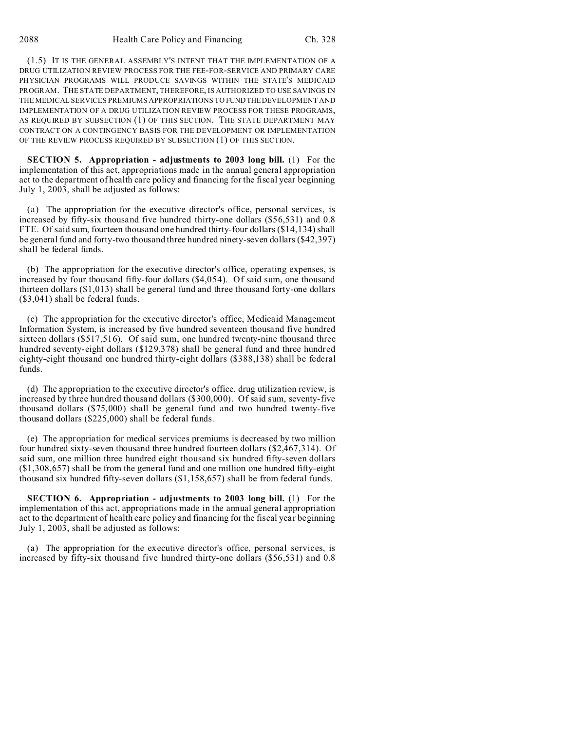(1.5) IT IS THE GENERAL ASSEMBLY'S INTENT THAT THE IMPLEMENTATION OF A DRUG UTILIZATION REVIEW PROCESS FOR THE FEE-FOR-SERVICE AND PRIMARY CARE PHYSICIAN PROGRAMS WILL PRODUCE SAVINGS WITHIN THE STATE'S MEDICAID PROGRAM. THE STATE DEPARTMENT, THEREFORE, IS AUTHORIZED TO USE SAVINGS IN THE MEDICAL SERVICES PREMIUMS APPROPRIATIONS TO FUNDTHEDEVELOPMENT AND IMPLEMENTATION OF A DRUG UTILIZATION REVIEW PROCESS FOR THESE PROGRAMS, AS REQUIRED BY SUBSECTION (1) OF THIS SECTION. THE STATE DEPARTMENT MAY CONTRACT ON A CONTINGENCY BASIS FOR THE DEVELOPMENT OR IMPLEMENTATION OF THE REVIEW PROCESS REQUIRED BY SUBSECTION (1) OF THIS SECTION.

**SECTION 5. Appropriation - adjustments to 2003 long bill.** (1) For the implementation of this act, appropriations made in the annual general appropriation act to the department of health care policy and financing for the fiscal year beginning July 1, 2003, shall be adjusted as follows:

(a) The appropriation for the executive director's office, personal services, is increased by fifty-six thousand five hundred thirty-one dollars (\$56,531) and 0.8 FTE. Of said sum, fourteen thousand one hundred thirty-four dollars (\$14,134) shall be general fund and forty-two thousand three hundred ninety-seven dollars (\$42,397) shall be federal funds.

(b) The appropriation for the executive director's office, operating expenses, is increased by four thousand fifty-four dollars (\$4,054). Of said sum, one thousand thirteen dollars (\$1,013) shall be general fund and three thousand forty-one dollars (\$3,041) shall be federal funds.

(c) The appropriation for the executive director's office, Medicaid Management Information System, is increased by five hundred seventeen thousand five hundred sixteen dollars (\$517,516). Of said sum, one hundred twenty-nine thousand three hundred seventy-eight dollars (\$129,378) shall be general fund and three hundred eighty-eight thousand one hundred thirty-eight dollars (\$388,138) shall be federal funds.

(d) The appropriation to the executive director's office, drug utilization review, is increased by three hundred thousand dollars (\$300,000). Of said sum, seventy-five thousand dollars (\$75,000) shall be general fund and two hundred twenty-five thousand dollars (\$225,000) shall be federal funds.

(e) The appropriation for medical services premiums is decreased by two million four hundred sixty-seven thousand three hundred fourteen dollars (\$2,467,314). Of said sum, one million three hundred eight thousand six hundred fifty-seven dollars (\$1,308,657) shall be from the general fund and one million one hundred fifty-eight thousand six hundred fifty-seven dollars (\$1,158,657) shall be from federal funds.

**SECTION 6. Appropriation - adjustments to 2003 long bill.** (1) For the implementation of this act, appropriations made in the annual general appropriation act to the department of health care policy and financing for the fiscal year beginning July 1, 2003, shall be adjusted as follows:

(a) The appropriation for the executive director's office, personal services, is increased by fifty-six thousand five hundred thirty-one dollars (\$56,531) and 0.8